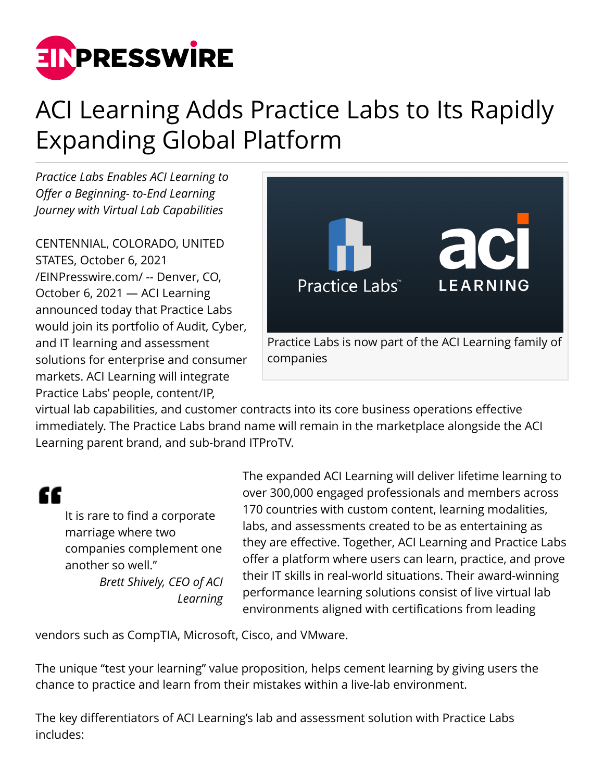

## ACI Learning Adds Practice Labs to Its Rapidly Expanding Global Platform

*Practice Labs Enables ACI Learning to Offer a Beginning- to-End Learning Journey with Virtual Lab Capabilities*

CENTENNIAL, COLORADO, UNITED STATES, October 6, 2021 [/EINPresswire.com/](http://www.einpresswire.com) -- Denver, CO, October 6, 2021 — ACI Learning announced today that Practice Labs would join its portfolio of Audit, Cyber, and IT learning and assessment solutions for enterprise and consumer markets. ACI Learning will integrate Practice Labs' people, content/IP,



virtual lab capabilities, and customer contracts into its core business operations effective immediately. The Practice Labs brand name will remain in the marketplace alongside the ACI Learning parent brand, and sub-brand ITProTV.

## "

It is rare to find a corporate marriage where two companies complement one another so well." *Brett Shively, CEO of ACI Learning* The expanded ACI Learning will deliver lifetime learning to over 300,000 engaged professionals and members across 170 countries with custom content, learning modalities, labs, and assessments created to be as entertaining as they are effective. Together, ACI Learning and Practice Labs offer a platform where users can learn, practice, and prove their IT skills in real-world situations. Their award-winning performance learning solutions consist of live virtual lab environments aligned with certifications from leading

vendors such as CompTIA, Microsoft, Cisco, and VMware.

The unique "test your learning" value proposition, helps cement learning by giving users the chance to practice and learn from their mistakes within a live-lab environment.

The key differentiators of ACI Learning's lab and assessment solution with Practice Labs includes: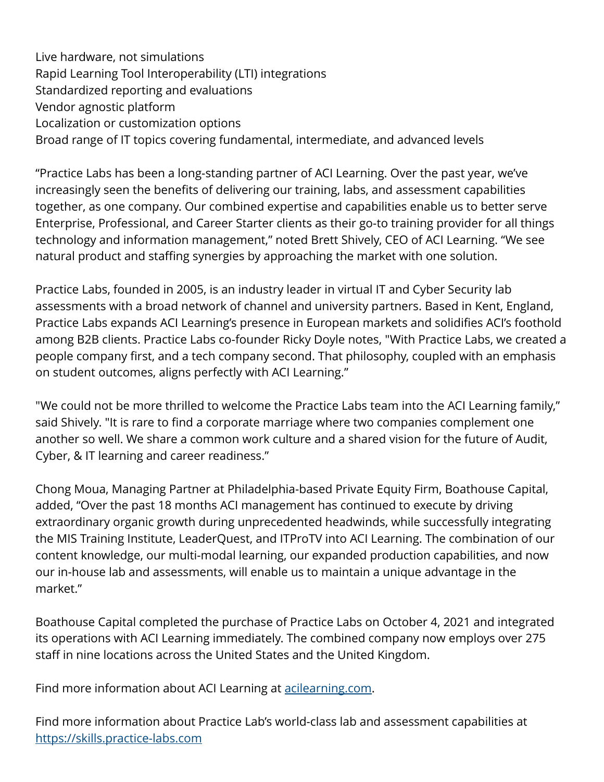Live hardware, not simulations Rapid Learning Tool Interoperability (LTI) integrations Standardized reporting and evaluations Vendor agnostic platform Localization or customization options Broad range of IT topics covering fundamental, intermediate, and advanced levels

"Practice Labs has been a long-standing partner of ACI Learning. Over the past year, we've increasingly seen the benefits of delivering our training, labs, and assessment capabilities together, as one company. Our combined expertise and capabilities enable us to better serve Enterprise, Professional, and Career Starter clients as their go-to training provider for all things technology and information management," noted Brett Shively, CEO of ACI Learning. "We see natural product and staffing synergies by approaching the market with one solution.

Practice Labs, founded in 2005, is an industry leader in virtual IT and Cyber Security lab assessments with a broad network of channel and university partners. Based in Kent, England, Practice Labs expands ACI Learning's presence in European markets and solidifies ACI's foothold among B2B clients. Practice Labs co-founder Ricky Doyle notes, "With Practice Labs, we created a people company first, and a tech company second. That philosophy, coupled with an emphasis on student outcomes, aligns perfectly with ACI Learning."

"We could not be more thrilled to welcome the Practice Labs team into the ACI Learning family," said Shively. "It is rare to find a corporate marriage where two companies complement one another so well. We share a common work culture and a shared vision for the future of Audit, Cyber, & IT learning and career readiness."

Chong Moua, Managing Partner at Philadelphia-based Private Equity Firm, Boathouse Capital, added, "Over the past 18 months ACI management has continued to execute by driving extraordinary organic growth during unprecedented headwinds, while successfully integrating the MIS Training Institute, LeaderQuest, and ITProTV into ACI Learning. The combination of our content knowledge, our multi-modal learning, our expanded production capabilities, and now our in-house lab and assessments, will enable us to maintain a unique advantage in the market."

Boathouse Capital completed the purchase of Practice Labs on October 4, 2021 and integrated its operations with ACI Learning immediately. The combined company now employs over 275 staff in nine locations across the United States and the United Kingdom.

Find more information about ACI Learning at [acilearning.com.](https://acilearning.com)

Find more information about Practice Lab's world-class lab and assessment capabilities at <https://skills.practice-labs.com>